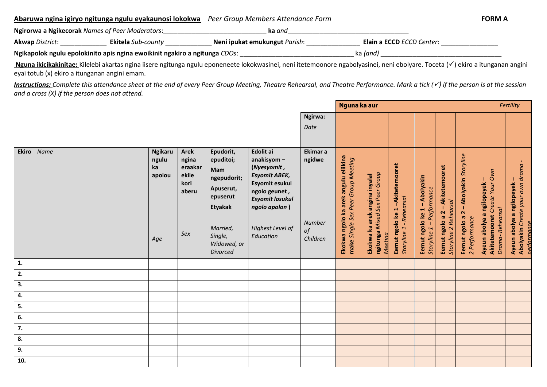## **Abaruwa ngina igiryo ngitunga ngulu eyakaunosi lokokwa** *Peer Group Members Attendance Form* **FORM A**

**Ngirorwa a Ngikecorak** *Names of Peer Moderators*:\_\_\_\_\_\_\_\_\_\_\_\_\_\_\_\_\_\_\_\_\_\_\_\_\_\_\_\_\_ **ka** *and*\_\_\_\_\_\_\_\_\_\_\_\_\_\_\_\_\_\_\_\_\_\_\_\_\_\_\_\_\_\_\_\_\_\_

**Akwap** *District*: \_\_\_\_\_\_\_\_\_\_\_\_\_ **Ekitela** *Sub-county* \_\_\_\_\_\_\_\_\_\_\_\_\_ **Neni ipukat emukungut** *Parish*: \_\_\_\_\_\_\_\_\_\_\_\_\_\_\_ **Elain a ECCD** *ECCD Center*: \_\_\_\_\_\_\_\_\_\_\_\_\_\_\_\_

**Ngikapolok ngulu epolokinito apis ngina ewoikinit ngakiro a ngitunga** *CDOs*: \_\_\_\_\_\_\_\_\_\_\_\_\_\_\_\_\_\_\_\_\_\_\_\_\_\_\_\_\_\_\_\_ ka *(and)* \_\_\_\_\_\_\_\_\_\_\_\_\_\_\_\_\_\_\_\_\_\_\_\_\_\_\_\_\_\_\_\_\_\_

**Nguna ikicikakinitae:** Kilelebi akartas ngina iisere ngitunga ngulu eponeneete lokokwasinei, neni itetemoonore ngabolyasinei, neni ebolyare. Toceta (√) ekiro a itunganan angini eyai totub (x) ekiro a itunganan angini emam.

*Instructions: Complete this attendance sheet at the end of every Peer Group Meeting, Theatre Rehearsal, and Theatre Performance. Mark a tick () if the person is at the session and a cross (X) if the person does not attend.* 

|            |                                                |                                                                  |                                                                                                                                                  |                                                                                                                                                                                      |                                                       | Nguna ka aur                                                               |                                                                           |                                                           |                                                             |                                                          |                                                           |                                                                               | Fertility                                                                     |
|------------|------------------------------------------------|------------------------------------------------------------------|--------------------------------------------------------------------------------------------------------------------------------------------------|--------------------------------------------------------------------------------------------------------------------------------------------------------------------------------------|-------------------------------------------------------|----------------------------------------------------------------------------|---------------------------------------------------------------------------|-----------------------------------------------------------|-------------------------------------------------------------|----------------------------------------------------------|-----------------------------------------------------------|-------------------------------------------------------------------------------|-------------------------------------------------------------------------------|
|            |                                                |                                                                  |                                                                                                                                                  |                                                                                                                                                                                      | Ngirwa:<br>Date                                       |                                                                            |                                                                           |                                                           |                                                             |                                                          |                                                           |                                                                               |                                                                               |
| Ekiro Name | <b>Ngikaru</b><br>ngulu<br>ka<br>apolou<br>Age | <b>Arek</b><br>ngina<br>eraakar<br>ekile<br>kori<br>aberu<br>Sex | Epudorit,<br>epuditoi;<br>Mam<br>ngepudorit;<br>Apuserut,<br>epuserut<br><b>Etyakak</b><br>Married,<br>Single,<br>Widowed, or<br><b>Divorced</b> | Edolit ai<br>anakisyom-<br>(Nyesyomit,<br><b>Esyomit ABEK,</b><br><b>Esyomit esukul</b><br>ngolo geunet,<br><b>Esyomit losukul</b><br>ngolo apolon)<br>Highest Level of<br>Education | Ekimar a<br>ngidwe<br><b>Number</b><br>of<br>Children | Ekokwa ngolo ka arek angulu eliikina<br>make Single Sex Peer Group Meeting | ngitunga Mixed Sex Peer Group<br>Ekokwa ka arek angina inyalal<br>Meetina | Eemut ngolo ke 1-Akitetemooret<br>Storyline 1 - Rehearsal | Abolyakin<br>Performance<br>Eemut ngolo ke 1<br>Storyline 1 | Eemut ngolo a 2 - Akitetemooret<br>Storyline 2 Rehearsal | - Abolyakin Storyline<br>Eemut ngolo a 2<br>2 Performance | Akitetemooret Create Your Own<br>Ayeun abolya a ngilopeyek<br>Drama-Rehearsal | Abolyakin Create your own drama -<br>Ayeun abolya a ngilopeyek<br>performance |
| 1.         |                                                |                                                                  |                                                                                                                                                  |                                                                                                                                                                                      |                                                       |                                                                            |                                                                           |                                                           |                                                             |                                                          |                                                           |                                                                               |                                                                               |
| 2.         |                                                |                                                                  |                                                                                                                                                  |                                                                                                                                                                                      |                                                       |                                                                            |                                                                           |                                                           |                                                             |                                                          |                                                           |                                                                               |                                                                               |
| 3.         |                                                |                                                                  |                                                                                                                                                  |                                                                                                                                                                                      |                                                       |                                                                            |                                                                           |                                                           |                                                             |                                                          |                                                           |                                                                               |                                                                               |
| 4.         |                                                |                                                                  |                                                                                                                                                  |                                                                                                                                                                                      |                                                       |                                                                            |                                                                           |                                                           |                                                             |                                                          |                                                           |                                                                               |                                                                               |
| 5.         |                                                |                                                                  |                                                                                                                                                  |                                                                                                                                                                                      |                                                       |                                                                            |                                                                           |                                                           |                                                             |                                                          |                                                           |                                                                               |                                                                               |
| 6.         |                                                |                                                                  |                                                                                                                                                  |                                                                                                                                                                                      |                                                       |                                                                            |                                                                           |                                                           |                                                             |                                                          |                                                           |                                                                               |                                                                               |
| 7.         |                                                |                                                                  |                                                                                                                                                  |                                                                                                                                                                                      |                                                       |                                                                            |                                                                           |                                                           |                                                             |                                                          |                                                           |                                                                               |                                                                               |
| 8.         |                                                |                                                                  |                                                                                                                                                  |                                                                                                                                                                                      |                                                       |                                                                            |                                                                           |                                                           |                                                             |                                                          |                                                           |                                                                               |                                                                               |
| 9.         |                                                |                                                                  |                                                                                                                                                  |                                                                                                                                                                                      |                                                       |                                                                            |                                                                           |                                                           |                                                             |                                                          |                                                           |                                                                               |                                                                               |
| 10.        |                                                |                                                                  |                                                                                                                                                  |                                                                                                                                                                                      |                                                       |                                                                            |                                                                           |                                                           |                                                             |                                                          |                                                           |                                                                               |                                                                               |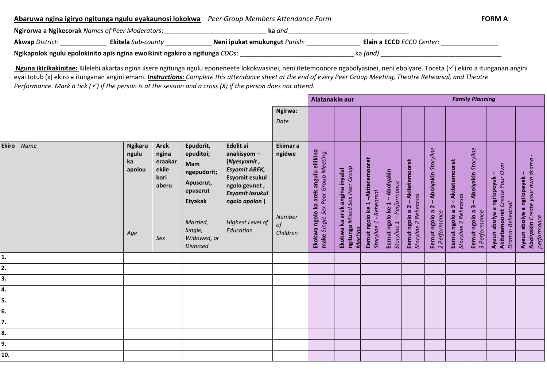|                                                        | Abaruwa ngina igiryo ngitunga ngulu eyakaunosi lokokwa                     | Peer Group Members Attendance Form |                                  | <b>FORM A</b> |
|--------------------------------------------------------|----------------------------------------------------------------------------|------------------------------------|----------------------------------|---------------|
| <b>Ngirorwa a Ngikecorak</b> Names of Peer Moderators: |                                                                            | ka and                             |                                  |               |
| <b>Akwap</b> District:                                 | <b>Ekitela</b> Sub-county                                                  | Neni ipukat emukungut Parish:      | <b>Elain a ECCD ECCD Center:</b> |               |
|                                                        | Ngikapolok ngulu epolokinito apis ngina ewoikinit ngakiro a ngitunga CDOs: |                                    | ka (and)                         |               |

Nguna ikicikakinitae: Kilelebi akartas ngina iisere ngitunga ngulu eponeneete lokokwasinei, neni itetemoonore ngabolyasinei, neni ebolyare. Toceta (√) ekiro a itunganan angini eyai totub (x) ekiro a itunganan angini emam. *Instructions: Complete this attendance sheet at the end of every Peer Group Meeting, Theatre Rehearsal, and Theatre Performance. Mark a tick () if the person is at the session and a cross (X) if the person does not attend.*

|            |                                                |                                                                  |                                                                                                                                           |                                                                                                                                                                               |                                                | Alatanakin aur                                                             |                                                                                  |                                                             |                                                           |                                                          | <b>Family Planning</b>                                  |                                                          |                                                        |                                                                                |                                                                                    |  |
|------------|------------------------------------------------|------------------------------------------------------------------|-------------------------------------------------------------------------------------------------------------------------------------------|-------------------------------------------------------------------------------------------------------------------------------------------------------------------------------|------------------------------------------------|----------------------------------------------------------------------------|----------------------------------------------------------------------------------|-------------------------------------------------------------|-----------------------------------------------------------|----------------------------------------------------------|---------------------------------------------------------|----------------------------------------------------------|--------------------------------------------------------|--------------------------------------------------------------------------------|------------------------------------------------------------------------------------|--|
|            |                                                |                                                                  |                                                                                                                                           |                                                                                                                                                                               | Ngirwa:<br>Date                                |                                                                            |                                                                                  |                                                             |                                                           |                                                          |                                                         |                                                          |                                                        |                                                                                |                                                                                    |  |
| Ekiro Name | <b>Ngikaru</b><br>ngulu<br>ka<br>apolou<br>Age | <b>Arek</b><br>ngina<br>eraakar<br>ekile<br>kori<br>aberu<br>Sex | Epudorit,<br>epuditoi;<br>Mam<br>ngepudorit;<br>Apuserut,<br>epuserut<br><b>Etyakak</b><br>Married,<br>Single,<br>Widowed, or<br>Divorced | Edolit ai<br>anakisyom-<br>(Nyesyomit,<br><b>Esyomit ABEK,</b><br>Esyomit esukul<br>ngolo geunet,<br><b>Esyomit losukul</b><br>ngolo apolon)<br>Highest Level of<br>Education | Ekimar a<br>ngidwe<br>Number<br>of<br>Children | Ekokwa ngolo ka arek angulu eliikina<br>make Single Sex Peer Group Meeting | Ekokwa ka arek angina inyalal<br>ngitunga <i>Mixed Sex Peer Group</i><br>Meeting | Eemut ngolo ke 1 - Akitetemooret<br>Storyline 1 - Rehearsal | Eemut ngolo ke 1 - Abolyakin<br>Storyline 1 - Performance | Eemut ngolo a 2 - Akitetemooret<br>Storyline 2 Rehearsal | Abolyakin Storyline<br>Eemut ngolo a 2<br>2 Performance | Eemut ngolo a 3 - Akitetemooret<br>Storyline 3 Rehearsal | Eemut ngolo a 3 - Abolyakin Storyline<br>3 Performance | Akitetemooret Create Your Own<br>Ayeun abolya a ngilopeyek-<br>Drama-Rehearsal | <b>Abolyakin</b> Create your own drama<br>performance<br>Ayeun abolya a ngilopeyek |  |
| 1.         |                                                |                                                                  |                                                                                                                                           |                                                                                                                                                                               |                                                |                                                                            |                                                                                  |                                                             |                                                           |                                                          |                                                         |                                                          |                                                        |                                                                                |                                                                                    |  |
| 2.         |                                                |                                                                  |                                                                                                                                           |                                                                                                                                                                               |                                                |                                                                            |                                                                                  |                                                             |                                                           |                                                          |                                                         |                                                          |                                                        |                                                                                |                                                                                    |  |
| 3.         |                                                |                                                                  |                                                                                                                                           |                                                                                                                                                                               |                                                |                                                                            |                                                                                  |                                                             |                                                           |                                                          |                                                         |                                                          |                                                        |                                                                                |                                                                                    |  |
| 4.         |                                                |                                                                  |                                                                                                                                           |                                                                                                                                                                               |                                                |                                                                            |                                                                                  |                                                             |                                                           |                                                          |                                                         |                                                          |                                                        |                                                                                |                                                                                    |  |
| 5.         |                                                |                                                                  |                                                                                                                                           |                                                                                                                                                                               |                                                |                                                                            |                                                                                  |                                                             |                                                           |                                                          |                                                         |                                                          |                                                        |                                                                                |                                                                                    |  |
| 6.         |                                                |                                                                  |                                                                                                                                           |                                                                                                                                                                               |                                                |                                                                            |                                                                                  |                                                             |                                                           |                                                          |                                                         |                                                          |                                                        |                                                                                |                                                                                    |  |
| 7.         |                                                |                                                                  |                                                                                                                                           |                                                                                                                                                                               |                                                |                                                                            |                                                                                  |                                                             |                                                           |                                                          |                                                         |                                                          |                                                        |                                                                                |                                                                                    |  |
| 8.         |                                                |                                                                  |                                                                                                                                           |                                                                                                                                                                               |                                                |                                                                            |                                                                                  |                                                             |                                                           |                                                          |                                                         |                                                          |                                                        |                                                                                |                                                                                    |  |
| 9.         |                                                |                                                                  |                                                                                                                                           |                                                                                                                                                                               |                                                |                                                                            |                                                                                  |                                                             |                                                           |                                                          |                                                         |                                                          |                                                        |                                                                                |                                                                                    |  |
| 10.        |                                                |                                                                  |                                                                                                                                           |                                                                                                                                                                               |                                                |                                                                            |                                                                                  |                                                             |                                                           |                                                          |                                                         |                                                          |                                                        |                                                                                |                                                                                    |  |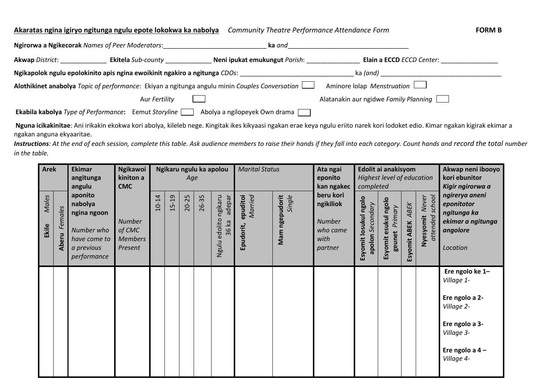## **Akaratas ngina igiryo ngitunga ngulu epote lokokwa ka nabolya** *Community Theatre Performance Attendance Form* **FORM B**

| Ngirorwa a Ngikecorak Names of Peer Moderators:                                                                   |                                                  | ka and          |                                         |  |
|-------------------------------------------------------------------------------------------------------------------|--------------------------------------------------|-----------------|-----------------------------------------|--|
| <b>Akwap</b> District:<br>Ekitela Sub-county                                                                      | Neni ipukat emukungut Parish:                    |                 | Elain a ECCD ECCD Center:               |  |
| Ngikapolok ngulu epolokinito apis ngina ewoikinit ngakiro a ngitunga CDOs:                                        |                                                  | ka <i>(and)</i> |                                         |  |
| <b>Alothikinet anabolya</b> Topic of performance: Ekiyan a ngitunga angulu minin Couples Conversation $\mathsf L$ |                                                  |                 | Aminore lolap Menstruation              |  |
|                                                                                                                   | Aur Fertility                                    |                 | Alatanakin aur ngidwe Family Planning [ |  |
| Ekabila kabolya Type of Performance:                                                                              | Abolya a ngilopeyek Own drama<br>Eemut Storyline |                 |                                         |  |

**Nguna icikakinitae**: Ani irikakin ekokwa kori abolya, kileleb nege. Kingitak ikes kikyaasi ngakan erae keya ngulu eriito narek kori lodoket edio. Kimar ngakan kigirak ekimar a ngakan anguna ekyaaritae.

*Instructions: At the end of each session, complete this table. Ask audience members to raise their hands if they fall into each category. Count hands and record the total number in the table.*

| <b>Arek</b>           |                  | <b>Ekimar</b><br>angitunga<br>angulu                                                         | <b>Ngikawoi</b><br>kiniton a<br><b>CMC</b>           |           | Ngikaru ngulu ka apolou<br>Age |       |       |                                                | <b>Marital Status</b>            |                          | Ata ngai<br>eponito<br>kan ngakec                                      | Edolit ai anakisyom<br>Highest level of education<br>completed |                                           |                      |                                                       | Akwap neni ibooyo<br>kori ebunitor<br>Kigir ngirorwa a                                                                          |
|-----------------------|------------------|----------------------------------------------------------------------------------------------|------------------------------------------------------|-----------|--------------------------------|-------|-------|------------------------------------------------|----------------------------------|--------------------------|------------------------------------------------------------------------|----------------------------------------------------------------|-------------------------------------------|----------------------|-------------------------------------------------------|---------------------------------------------------------------------------------------------------------------------------------|
| <b>Males</b><br>Ekile | Females<br>Aberu | aponito<br>nabolya<br>ngina ngoon<br>Number who<br>have come to<br>a previous<br>performance | <b>Number</b><br>of CMC<br><b>Members</b><br>Present | $10 - 14$ | 15-19                          | 20-25 | 26-35 | ngikaru<br>adepar<br>edolito<br>36 ka<br>Ngulu | epuditoi<br>Married<br>Epudorit, | Single<br>Mam ngepudorit | beru kori<br>ngikiliok<br><b>Number</b><br>who came<br>with<br>partner | Esyomit losukul ngolo<br>apolon Secondary                      | Esyomit esukul ngolo<br>Primary<br>geunet | ABEK<br>Esyomit ABEK | <b>yesyomit</b> Never<br>attended school<br>Nyesyomit | ngirerya aneni<br>eponitotor<br>ngitunga ka<br>ekimar a ngitunga<br>angolore<br>Location                                        |
|                       |                  |                                                                                              |                                                      |           |                                |       |       |                                                |                                  |                          |                                                                        |                                                                |                                           |                      |                                                       | Ere ngolo ke 1-<br>Village 1-<br>Ere ngolo a 2-<br>Village 2-<br>Ere ngolo a 3-<br>Village 3-<br>Ere ngolo a $4-$<br>Village 4- |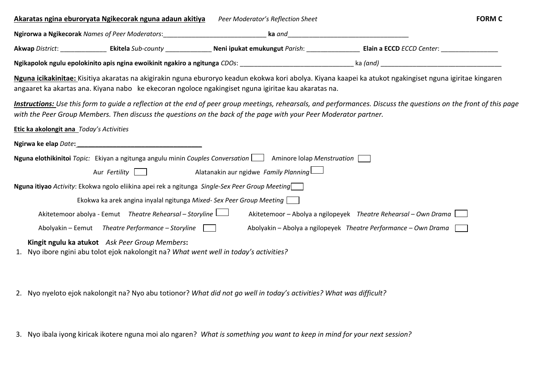|                                          | <u>Akaratas ngina eburoryata Ngikecorak nguna adaun akitiya </u>                                                                                                                                                                                                                        | Peer Moderator's Reflection Sheet |                                                                 | <b>FORM C</b> |
|------------------------------------------|-----------------------------------------------------------------------------------------------------------------------------------------------------------------------------------------------------------------------------------------------------------------------------------------|-----------------------------------|-----------------------------------------------------------------|---------------|
|                                          |                                                                                                                                                                                                                                                                                         |                                   |                                                                 |               |
|                                          |                                                                                                                                                                                                                                                                                         |                                   |                                                                 |               |
|                                          |                                                                                                                                                                                                                                                                                         |                                   |                                                                 |               |
|                                          | Nguna icikakinitae: Kisitiya akaratas na akigirakin nguna eburoryo keadun ekokwa kori abolya. Kiyana kaapei ka atukot ngakingiset nguna igiritae kingaren<br>angaaret ka akartas ana. Kiyana nabo ke ekecoran ngoloce ngakingiset nguna igiritae kau akaratas na.                       |                                   |                                                                 |               |
|                                          | Instructions: Use this form to guide a reflection at the end of peer group meetings, rehearsals, and performances. Discuss the questions on the front of this page<br>with the Peer Group Members. Then discuss the questions on the back of the page with your Peer Moderator partner. |                                   |                                                                 |               |
| Etic ka akolongit ana Today's Activities |                                                                                                                                                                                                                                                                                         |                                   |                                                                 |               |
|                                          |                                                                                                                                                                                                                                                                                         |                                   |                                                                 |               |
|                                          |                                                                                                                                                                                                                                                                                         |                                   |                                                                 |               |
|                                          | Aur Fertility 1.1 Alatanakin aur ngidwe Family Planning                                                                                                                                                                                                                                 |                                   |                                                                 |               |
|                                          | Nguna itiyao Activity: Ekokwa ngolo eliikina apei rek a ngitunga Single-Sex Peer Group Meeting                                                                                                                                                                                          |                                   |                                                                 |               |
|                                          | Ekokwa ka arek angina inyalal ngitunga Mixed-Sex Peer Group Meeting                                                                                                                                                                                                                     |                                   |                                                                 |               |
|                                          | Akitetemoor abolya - Eemut Theatre Rehearsal – Storyline                                                                                                                                                                                                                                |                                   | Akitetemoor - Abolya a ngilopeyek Theatre Rehearsal - Own Drama |               |
|                                          | Abolyakin – Eemut Theatre Performance – Storyline                                                                                                                                                                                                                                       |                                   | Abolyakin – Abolya a ngilopeyek Theatre Performance – Own Drama |               |
|                                          | Kingit ngulu ka atukot Ask Peer Group Members:<br>1. Nyo ibore ngini abu tolot ejok nakolongit na? What went well in today's activities?                                                                                                                                                |                                   |                                                                 |               |

- 2. Nyo nyeloto ejok nakolongit na? Nyo abu totionor? *What did not go well in today's activities? What was difficult?*
- 3. Nyo ibala iyong kiricak ikotere nguna moi alo ngaren? *What is something you want to keep in mind for your next session?*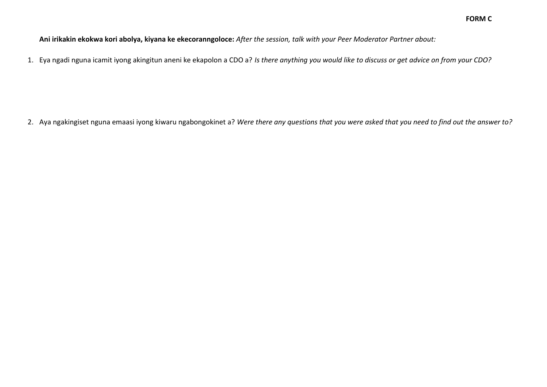**Ani irikakin ekokwa kori abolya, kiyana ke ekecoranngoloce:** *After the session, talk with your Peer Moderator Partner about:*

1. Eya ngadi nguna icamit iyong akingitun aneni ke ekapolon a CDO a? *Is there anything you would like to discuss or get advice on from your CDO?* 

2. Aya ngakingiset nguna emaasi iyong kiwaru ngabongokinet a? *Were there any questions that you were asked that you need to find out the answer to?*